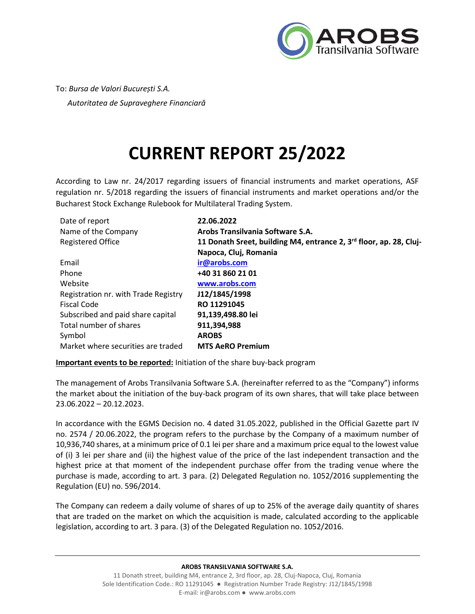

To: *Bursa de Valori București S.A. Autoritatea de Supraveghere Financiară* 

## **CURRENT REPORT 25/2022**

According to Law nr. 24/2017 regarding issuers of financial instruments and market operations, ASF regulation nr. 5/2018 regarding the issuers of financial instruments and market operations and/or the Bucharest Stock Exchange Rulebook for Multilateral Trading System.

| Date of report                       | 22.06.2022                                                         |
|--------------------------------------|--------------------------------------------------------------------|
| Name of the Company                  | Arobs Transilvania Software S.A.                                   |
| <b>Registered Office</b>             | 11 Donath Sreet, building M4, entrance 2, 3rd floor, ap. 28, Cluj- |
|                                      | Napoca, Cluj, Romania                                              |
| Email                                | ir@arobs.com                                                       |
| Phone                                | +40 31 860 21 01                                                   |
| Website                              | www.arobs.com                                                      |
| Registration nr. with Trade Registry | J12/1845/1998                                                      |
| <b>Fiscal Code</b>                   | RO 11291045                                                        |
| Subscribed and paid share capital    | 91,139,498.80 lei                                                  |
| Total number of shares               | 911,394,988                                                        |
| Symbol                               | <b>AROBS</b>                                                       |
| Market where securities are traded   | <b>MTS AeRO Premium</b>                                            |

**Important events to be reported:** Initiation of the share buy-back program

The management of Arobs Transilvania Software S.A. (hereinafter referred to as the "Company") informs the market about the initiation of the buy-back program of its own shares, that will take place between 23.06.2022 – 20.12.2023.

In accordance with the EGMS Decision no. 4 dated 31.05.2022, published in the Official Gazette part IV no. 2574 / 20.06.2022, the program refers to the purchase by the Company of a maximum number of 10,936,740 shares, at a minimum price of 0.1 lei per share and a maximum price equal to the lowest value of (i) 3 lei per share and (ii) the highest value of the price of the last independent transaction and the highest price at that moment of the independent purchase offer from the trading venue where the purchase is made, according to art. 3 para. (2) Delegated Regulation no. 1052/2016 supplementing the Regulation (EU) no. 596/2014.

The Company can redeem a daily volume of shares of up to 25% of the average daily quantity of shares that are traded on the market on which the acquisition is made, calculated according to the applicable legislation, according to art. 3 para. (3) of the Delegated Regulation no. 1052/2016.